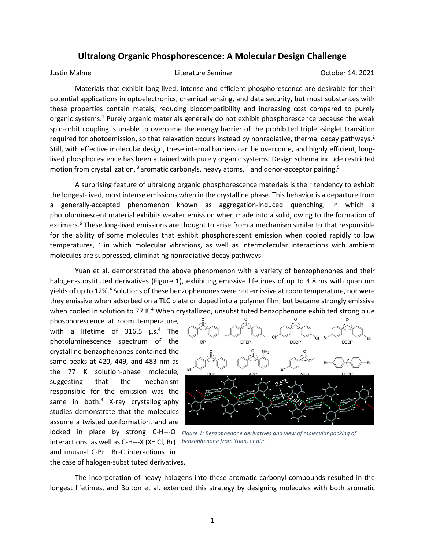## **Ultralong Organic Phosphorescence: A Molecular Design Challenge**

Justin Malme Literature Seminar October 14, 2021

Materials that exhibit long-lived, intense and efficient phosphorescence are desirable for their potential applications in optoelectronics, chemical sensing, and data security, but most substances with these properties contain metals, reducing biocompatibility and increasing cost compared to purely organic systems.<sup>1</sup> Purely organic materials generally do not exhibit phosphorescence because the weak spin-orbit coupling is unable to overcome the energy barrier of the prohibited triplet-singlet transition required for photoemission, so that relaxation occurs instead by nonradiative, thermal decay pathways.<sup>2</sup> Still, with effective molecular design, these internal barriers can be overcome, and highly efficient, longlived phosphorescence has been attained with purely organic systems. Design schema include restricted motion from crystallization, <sup>3</sup> aromatic carbonyls, heavy atoms, <sup>4</sup> and donor-acceptor pairing.<sup>5</sup>

A surprising feature of ultralong organic phosphorescence materials is their tendency to exhibit the longest-lived, most intense emissions when in the crystalline phase. This behavior is a departure from a generally-accepted phenomenon known as aggregation-induced quenching, in which a photoluminescent material exhibits weaker emission when made into a solid, owing to the formation of excimers.<sup>6</sup> These long-lived emissions are thought to arise from a mechanism similar to that responsible for the ability of some molecules that exhibit phosphorescent emission when cooled rapidly to low temperatures,  $^7$  in which molecular vibrations, as well as intermolecular interactions with ambient molecules are suppressed, eliminating nonradiative decay pathways.

Yuan et al. demonstrated the above phenomenon with a variety of benzophenones and their halogen-substituted derivatives (Figure 1), exhibiting emissive lifetimes of up to 4.8 ms with quantum yields of up to 12%.<sup>4</sup> Solutions of these benzophenones were not emissive at room temperature, nor were they emissive when adsorbed on a TLC plate or doped into a polymer film, but became strongly emissive when cooled in solution to 77 K.<sup>4</sup> When crystallized, unsubstituted benzophenone exhibited strong blue

phosphorescence at room temperature, with a lifetime of 316.5 μs.<sup>4</sup> The photoluminescence spectrum of the crystalline benzophenones contained the same peaks at 420, 449, and 483 nm as the 77 K solution-phase molecule, suggesting that the mechanism responsible for the emission was the same in both. $4$  X-ray crystallography studies demonstrate that the molecules assume a twisted conformation, and are interactions, as well as C-H---X (X= Cl, Br) *benzophenone from Yuan, et al.<sup>4</sup>*and unusual C-Br—Br-C interactions in the case of halogen-substituted derivatives.



locked in place by strong C-H---O Figure 1: Benzophenone derivatives and view of molecular packing of

The incorporation of heavy halogens into these aromatic carbonyl compounds resulted in the longest lifetimes, and Bolton et al. extended this strategy by designing molecules with both aromatic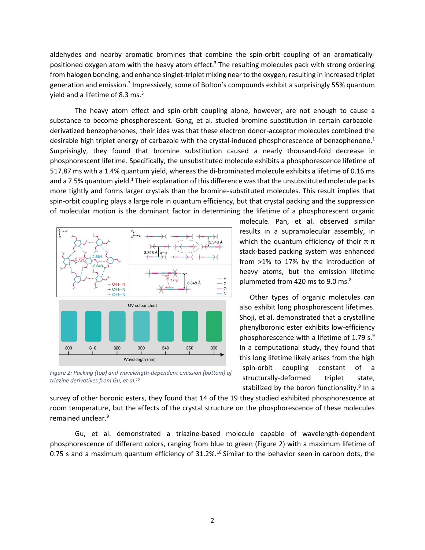aldehydes and nearby aromatic bromines that combine the spin-orbit coupling of an aromaticallypositioned oxygen atom with the heavy atom effect.<sup>3</sup> The resulting molecules pack with strong ordering from halogen bonding, and enhance singlet-triplet mixing near to the oxygen, resulting in increased triplet generation and emission.<sup>3</sup> Impressively, some of Bolton's compounds exhibit a surprisingly 55% quantum yield and a lifetime of 8.3 ms.<sup>3</sup>

The heavy atom effect and spin-orbit coupling alone, however, are not enough to cause a substance to become phosphorescent. Gong, et al. studied bromine substitution in certain carbazolederivatized benzophenones; their idea was that these electron donor-acceptor molecules combined the desirable high triplet energy of carbazole with the crystal-induced phosphorescence of benzophenone.<sup>1</sup> Surprisingly, they found that bromine substitution caused a nearly thousand-fold decrease in phosphorescent lifetime. Specifically, the unsubstituted molecule exhibits a phosphorescence lifetime of 517.87 ms with a 1.4% quantum yield, whereas the di-brominated molecule exhibits a lifetime of 0.16 ms and a 7.5% quantum yield.<sup>1</sup> Their explanation of this difference was that the unsubstituted molecule packs more tightly and forms larger crystals than the bromine-substituted molecules. This result implies that spin-orbit coupling plays a large role in quantum efficiency, but that crystal packing and the suppression of molecular motion is the dominant factor in determining the lifetime of a phosphorescent organic



*Figure 2: Packing (top) and wavelength-dependent emission (bottom) of triazine derivatives from Gu, et al.10*

molecule. Pan, et al. observed similar results in a supramolecular assembly, in which the quantum efficiency of their  $\pi$ - $\pi$ stack-based packing system was enhanced from >1% to 17% by the introduction of heavy atoms, but the emission lifetime plummeted from 420 ms to 9.0 ms.<sup>8</sup>

Other types of organic molecules can also exhibit long phosphorescent lifetimes. Shoji, et al. demonstrated that a crystalline phenylboronic ester exhibits low-efficiency phosphorescence with a lifetime of 1.79 s. $9$ In a computational study, they found that this long lifetime likely arises from the high spin-orbit coupling constant of a structurally-deformed triplet state, stabilized by the boron functionality.<sup>9</sup> In a

survey of other boronic esters, they found that 14 of the 19 they studied exhibited phosphorescence at room temperature, but the effects of the crystal structure on the phosphorescence of these molecules remained unclear. 9

Gu, et al. demonstrated a triazine-based molecule capable of wavelength-dependent phosphorescence of different colors, ranging from blue to green (Figure 2) with a maximum lifetime of 0.75 s and a maximum quantum efficiency of  $31.2\%$ .<sup>10</sup> Similar to the behavior seen in carbon dots, the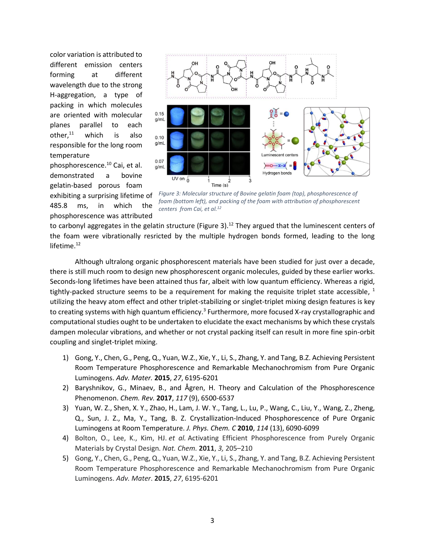color variation is attributed to different emission centers forming at different wavelength due to the strong H-aggregation, a type of packing in which molecules are oriented with molecular planes parallel to each other, $11$  which is also responsible for the long room temperature



phosphorescence was attributed



*Figure 3: Molecular structure of Bovine gelatin foam (top), phosphorescence of foam (bottom left), and packing of the foam with attribution of phosphorescent centers from Cai, et al.12*

to carbonyl aggregates in the gelatin structure (Figure 3).<sup>12</sup> They argued that the luminescent centers of the foam were vibrationally resricted by the multiple hydrogen bonds formed, leading to the long lifetime. $12$ 

Although ultralong organic phosphorescent materials have been studied for just over a decade, there is still much room to design new phosphorescent organic molecules, guided by these earlier works. Seconds-long lifetimes have been attained thus far, albeit with low quantum efficiency. Whereas a rigid, tightly-packed structure seems to be a requirement for making the requisite triplet state accessible,  $^1$ utilizing the heavy atom effect and other triplet-stabilizing or singlet-triplet mixing design features is key to creating systems with high quantum efficiency.<sup>3</sup> Furthermore, more focused X-ray crystallographic and computational studies ought to be undertaken to elucidate the exact mechanisms by which these crystals dampen molecular vibrations, and whether or not crystal packing itself can result in more fine spin-orbit coupling and singlet-triplet mixing.

- 1) Gong, Y., Chen, G., Peng, Q., Yuan, W.Z., Xie, Y., Li, S., Zhang, Y. and Tang, B.Z. Achieving Persistent Room Temperature Phosphorescence and Remarkable Mechanochromism from Pure Organic Luminogens. *Adv. Mater.* **2015**, *27*, 6195-6201
- 2) Baryshnikov, G., Minaev, B., and Ågren, H. Theory and Calculation of the Phosphorescence Phenomenon. *Chem. Rev.* **2017**, *117* (9), 6500-6537
- 3) Yuan, W. Z., Shen, X. Y., Zhao, H., Lam, J. W. Y., Tang, L., Lu, P., Wang, C., Liu, Y., Wang, Z., Zheng, Q., Sun, J. Z., Ma, Y., Tang, B. Z. Crystallization-Induced Phosphorescence of Pure Organic Luminogens at Room Temperature. *J. Phys. Chem. C* **2010**, *114* (13), 6090-6099
- 4) Bolton, O., Lee, K., Kim, HJ. *et al.* Activating Efficient Phosphorescence from Purely Organic Materials by Crystal Design. *Nat. Chem.* **2011**, *3,* 205–210
- 5) Gong, Y., Chen, G., Peng, Q., Yuan, W.Z., Xie, Y., Li, S., Zhang, Y. and Tang, B.Z. Achieving Persistent Room Temperature Phosphorescence and Remarkable Mechanochromism from Pure Organic Luminogens. *Adv. Mater*. **2015**, *27*, 6195-6201